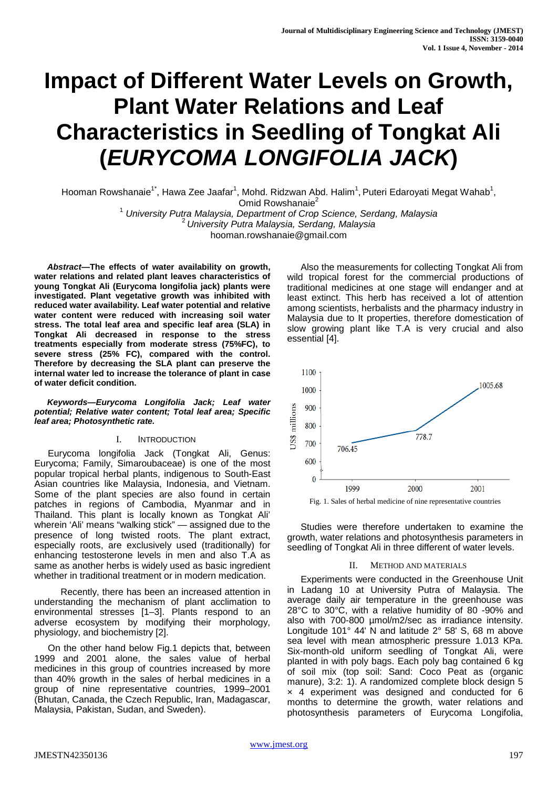# **Impact of Different Water Levels on Growth, Plant Water Relations and Leaf Characteristics in Seedling of Tongkat Ali (***EURYCOMA LONGIFOLIA JACK***)**

Hooman Rowshanaie<sup>1\*</sup>, Hawa Zee Jaafar<sup>1</sup>, Mohd. Ridzwan Abd. Halim<sup>1</sup>, Puteri Edaroyati Megat Wahab<sup>1</sup>, Omid Rowshanaie<sup>2</sup>

<sup>1</sup> *University Putra Malaysia, Department of Crop Science, Serdang, Malaysia* <sup>2</sup>*University Putra Malaysia, Serdang, Malaysia*

hooman.rowshanaie@gmail.com

*Abstract***—The effects of water availability on growth, water relations and related plant leaves characteristics of young Tongkat Ali (Eurycoma longifolia jack) plants were investigated. Plant vegetative growth was inhibited with reduced water availability. Leaf water potential and relative water content were reduced with increasing soil water stress. The total leaf area and specific leaf area (SLA) in Tongkat Ali decreased in response to the stress treatments especially from moderate stress (75%FC), to severe stress (25% FC), compared with the control. Therefore by decreasing the SLA plant can preserve the internal water led to increase the tolerance of plant in case of water deficit condition.**

*Keywords—Eurycoma Longifolia Jack; Leaf water potential; Relative water content; Total leaf area; Specific leaf area; Photosynthetic rate.*

## I. INTRODUCTION

Eurycoma longifolia Jack (Tongkat Ali, Genus: Eurycoma; Family, Simaroubaceae) is one of the most popular tropical herbal plants, indigenous to South-East Asian countries like Malaysia, Indonesia, and Vietnam. Some of the plant species are also found in certain patches in regions of Cambodia, Myanmar and in Thailand. This plant is locally known as Tongkat Ali' wherein 'Ali' means "walking stick" — assigned due to the presence of long twisted roots. The plant extract, especially roots, are exclusively used (traditionally) for enhancing testosterone levels in men and also T.A as same as another herbs is widely used as basic ingredient whether in traditional treatment or in modern medication.

 Recently, there has been an increased attention in understanding the mechanism of plant acclimation to environmental stresses [1–3]. Plants respond to an adverse ecosystem by modifying their morphology, physiology, and biochemistry [2].

On the other hand below Fig.1 depicts that, between 1999 and 2001 alone, the sales value of herbal medicines in this group of countries increased by more than 40% growth in the sales of herbal medicines in a group of nine representative countries, 1999–2001 (Bhutan, Canada, the Czech Republic, Iran, Madagascar, Malaysia, Pakistan, Sudan, and Sweden).

Also the measurements for collecting Tongkat Ali from wild tropical forest for the commercial productions of traditional medicines at one stage will endanger and at least extinct. This herb has received a lot of attention among scientists, herbalists and the pharmacy industry in Malaysia due to It properties, therefore domestication of slow growing plant like T.A is very crucial and also essential [4].



Fig. 1. Sales of herbal medicine of nine representative countries

Studies were therefore undertaken to examine the growth, water relations and photosynthesis parameters in seedling of Tongkat Ali in three different of water levels.

## II. METHOD AND MATERIALS

Experiments were conducted in the Greenhouse Unit in Ladang 10 at University Putra of Malaysia. The average daily air temperature in the greenhouse was 28°C to 30°C, with a relative humidity of 80 -90% and also with 700-800 µmol/m2/sec as irradiance intensity. Longitude 101° 44' N and latitude 2° 58' S, 68 m above sea level with mean atmospheric pressure 1.013 KPa. Six-month-old uniform seedling of Tongkat Ali, were planted in with poly bags. Each poly bag contained 6 kg of soil mix (top soil: Sand: Coco Peat as (organic manure), 3:2: 1). A randomized complete block design 5 × 4 experiment was designed and conducted for 6 months to determine the growth, water relations and photosynthesis parameters of Eurycoma Longifolia,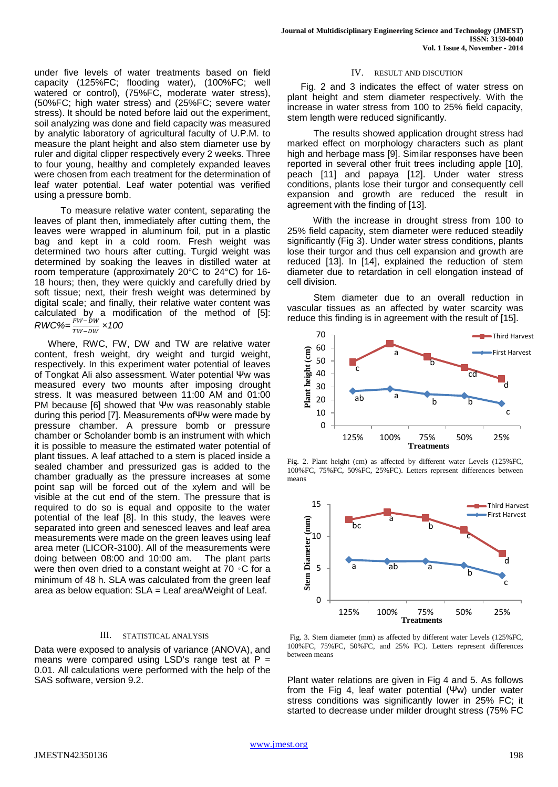under five levels of water treatments based on field capacity (125%FC; flooding water), (100%FC; well watered or control), (75%FC, moderate water stress), (50%FC; high water stress) and (25%FC; severe water stress). It should be noted before laid out the experiment, soil analyzing was done and field capacity was measured by analytic laboratory of agricultural faculty of U.P.M. to measure the plant height and also stem diameter use by ruler and digital clipper respectively every 2 weeks. Three to four young, healthy and completely expanded leaves were chosen from each treatment for the determination of leaf water potential. Leaf water potential was verified using a pressure bomb.

 To measure relative water content, separating the leaves of plant then, immediately after cutting them, the leaves were wrapped in aluminum foil, put in a plastic bag and kept in a cold room. Fresh weight was determined two hours after cutting. Turgid weight was determined by soaking the leaves in distilled water at room temperature (approximately 20°C to 24°C) for 16- 18 hours; then, they were quickly and carefully dried by soft tissue; next, their fresh weight was determined by digital scale; and finally, their relative water content was calculated by a modification of the method of [5]:  $RWC\% = \frac{FW - DW}{TW - DW} \times 100$ 

Where, RWC, FW, DW and TW are relative water content, fresh weight, dry weight and turgid weight, respectively. In this experiment water potential of leaves of Tongkat Ali also assessment. Water potential Ψw was measured every two mounts after imposing drought stress. It was measured between 11:00 AM and 01:00 PM because [6] showed that Ψw was reasonably stable during this period [7]. Measurements ofΨw were made by pressure chamber. A pressure bomb or pressure chamber or Scholander bomb is an instrument with which it is possible to measure the estimated water potential of plant tissues. A leaf attached to a stem is placed inside a sealed chamber and pressurized gas is added to the chamber gradually as the pressure increases at some point sap will be forced out of the xylem and will be visible at the cut end of the stem. The pressure that is required to do so is equal and opposite to the water potential of the leaf [8]. In this study, the leaves were separated into green and senesced leaves and leaf area measurements were made on the green leaves using leaf area meter (LICOR-3100). All of the measurements were doing between 08:00 and 10:00 am. The plant parts were then oven dried to a constant weight at 70 ⋅ C for a minimum of 48 h. SLA was calculated from the green leaf area as below equation: SLA = Leaf area/Weight of Leaf.

## III. STATISTICAL ANALYSIS

Data were exposed to analysis of variance (ANOVA), and means were compared using LSD's range test at  $P =$ 0.01. All calculations were performed with the help of the SAS software, version 9.2.

## IV. RESULT AND DISCUTION

Fig. 2 and 3 indicates the effect of water stress on plant height and stem diameter respectively. With the increase in water stress from 100 to 25% field capacity, stem length were reduced significantly.

 The results showed application drought stress had marked effect on morphology characters such as plant high and herbage mass [9]. Similar responses have been reported in several other fruit trees including apple [10], peach [11] and papaya [12]. Under water stress conditions, plants lose their turgor and consequently cell expansion and growth are reduced the result in agreement with the finding of [13].

 With the increase in drought stress from 100 to 25% field capacity, stem diameter were reduced steadily significantly (Fig 3). Under water stress conditions, plants lose their turgor and thus cell expansion and growth are reduced [13]. In [14], explained the reduction of stem diameter due to retardation in cell elongation instead of cell division.

 Stem diameter due to an overall reduction in vascular tissues as an affected by water scarcity was reduce this finding is in agreement with the result of [15].



Fig. 2. Plant height (cm) as affected by different water Levels (125%FC, 100%FC, 75%FC, 50%FC, 25%FC). Letters represent differences between means



Fig. 3. Stem diameter (mm) as affected by different water Levels (125%FC, 100%FC, 75%FC, 50%FC, and 25% FC). Letters represent differences between means

Plant water relations are given in Fig 4 and 5. As follows from the Fig 4, leaf water potential (Ψw) under water stress conditions was significantly lower in 25% FC; it started to decrease under milder drought stress (75% FC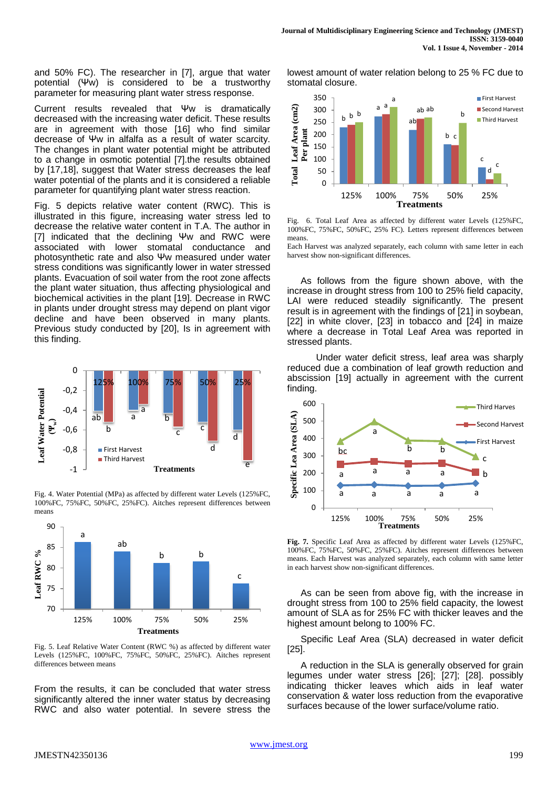and 50% FC). The researcher in [7], argue that water potential (Ψw) is considered to be a trustworthy parameter for measuring plant water stress response.

Current results revealed that Ψw is dramatically decreased with the increasing water deficit. These results are in agreement with those [16] who find similar decrease of Ψw in alfalfa as a result of water scarcity. The changes in plant water potential might be attributed to a change in osmotic potential [7].the results obtained by [17,18], suggest that Water stress decreases the leaf water potential of the plants and it is considered a reliable parameter for quantifying plant water stress reaction.

Fig. 5 depicts relative water content (RWC). This is illustrated in this figure, increasing water stress led to decrease the relative water content in T.A. The author in [7] indicated that the declining Ψw and RWC were associated with lower stomatal conductance and photosynthetic rate and also Ψw measured under water stress conditions was significantly lower in water stressed plants. Evacuation of soil water from the root zone affects the plant water situation, thus affecting physiological and biochemical activities in the plant [19]. Decrease in RWC in plants under drought stress may depend on plant vigor decline and have been observed in many plants. Previous study conducted by [20], Is in agreement with this finding.



Fig. 4. Water Potential (MPa) as affected by different water Levels (125%FC, 100%FC, 75%FC, 50%FC, 25%FC). Aitches represent differences between means



Fig. 5. Leaf Relative Water Content (RWC %) as affected by different water Levels (125%FC, 100%FC, 75%FC, 50%FC, 25%FC). Aitches represent differences between means

From the results, it can be concluded that water stress significantly altered the inner water status by decreasing RWC and also water potential. In severe stress the lowest amount of water relation belong to 25 % FC due to stomatal closure.



Fig. 6. Total Leaf Area as affected by different water Levels (125%FC, 100%FC, 75%FC, 50%FC, 25% FC). Letters represent differences between means.

Each Harvest was analyzed separately, each column with same letter in each harvest show non-significant differences.

As follows from the figure shown above, with the increase in drought stress from 100 to 25% field capacity, LAI were reduced steadily significantly. The present result is in agreement with the findings of [21] in soybean, [22] in white clover, [23] in tobacco and [24] in maize where a decrease in Total Leaf Area was reported in stressed plants.

 Under water deficit stress, leaf area was sharply reduced due a combination of leaf growth reduction and abscission [19] actually in agreement with the current finding.



**Fig. 7.** Specific Leaf Area as affected by different water Levels (125%FC, 100%FC, 75%FC, 50%FC, 25%FC). Aitches represent differences between means. Each Harvest was analyzed separately, each column with same letter in each harvest show non-significant differences.

As can be seen from above fig, with the increase in drought stress from 100 to 25% field capacity, the lowest amount of SLA as for 25% FC with thicker leaves and the highest amount belong to 100% FC.

Specific Leaf Area (SLA) decreased in water deficit [25].

A reduction in the SLA is generally observed for grain legumes under water stress [26]; [27]; [28]. possibly indicating thicker leaves which aids in leaf water conservation & water loss reduction from the evaporative surfaces because of the lower surface/volume ratio.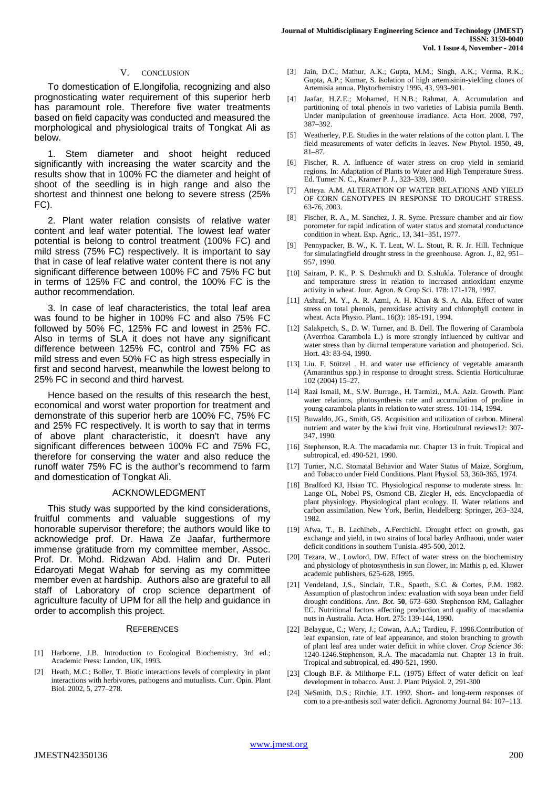#### V. CONCLUSION

To domestication of E.longifolia, recognizing and also prognosticating water requirement of this superior herb has paramount role. Therefore five water treatments based on field capacity was conducted and measured the morphological and physiological traits of Tongkat Ali as below.

1. Stem diameter and shoot height reduced significantly with increasing the water scarcity and the results show that in 100% FC the diameter and height of shoot of the seedling is in high range and also the shortest and thinnest one belong to severe stress (25% FC).

2. Plant water relation consists of relative water content and leaf water potential. The lowest leaf water potential is belong to control treatment (100% FC) and mild stress (75% FC) respectively. It is important to say that in case of leaf relative water content there is not any significant difference between 100% FC and 75% FC but in terms of 125% FC and control, the 100% FC is the author recommendation.

3. In case of leaf characteristics, the total leaf area was found to be higher in 100% FC and also 75% FC followed by 50% FC, 125% FC and lowest in 25% FC. Also in terms of SLA it does not have any significant difference between 125% FC, control and 75% FC as mild stress and even 50% FC as high stress especially in first and second harvest, meanwhile the lowest belong to 25% FC in second and third harvest.

Hence based on the results of this research the best, economical and worst water proportion for treatment and demonstrate of this superior herb are 100% FC, 75% FC and 25% FC respectively. It is worth to say that in terms of above plant characteristic, it doesn't have any significant differences between 100% FC and 75% FC, therefore for conserving the water and also reduce the runoff water 75% FC is the author's recommend to farm and domestication of Tongkat Ali.

#### ACKNOWLEDGMENT

This study was supported by the kind considerations, fruitful comments and valuable suggestions of my honorable supervisor therefore; the authors would like to acknowledge prof. Dr. Hawa Ze Jaafar, furthermore immense gratitude from my committee member, Assoc. Prof. Dr. Mohd. Ridzwan Abd. Halim and Dr. Puteri Edaroyati Megat Wahab for serving as my committee member even at hardship. Authors also are grateful to all staff of Laboratory of crop science department of agriculture faculty of UPM for all the help and guidance in order to accomplish this project.

#### **REFERENCES**

- [1] Harborne, J.B. Introduction to Ecological Biochemistry, 3rd ed.; Academic Press: London, UK, 1993.
- [2] Heath, M.C.; Boller, T. Biotic interactions levels of complexity in plant interactions with herbivores, pathogens and mutualists. Curr. Opin. Plant Biol. 2002, 5, 277–278.
- [3] Jain, D.C.; Mathur, A.K.; Gupta, M.M.; Singh, A.K.; Verma, R.K.; Gupta, A.P.; Kumar, S. Isolation of high artemisinin-yielding clones of Artemisia annua. Phytochemistry 1996, 43, 993–901.
- [4] Jaafar, H.Z.E.; Mohamed, H.N.B.; Rahmat, A. Accumulation and partitioning of total phenols in two varieties of Labisia pumila Benth. Under manipulation of greenhouse irradiance. Acta Hort. 2008, 797, 387–392.
- [5] Weatherley, P.E. Studies in the water relations of the cotton plant. I. The field measurements of water deficits in leaves. New Phytol. 1950, 49, 81–87.
- [6] Fischer, R. A. Influence of water stress on crop yield in semiarid regions. In: Adaptation of Plants to Water and High Temperature Stress. Ed. Turner N. C., Kramer P. J., 323–339, 1980.
- [7] Atteya. A.M. ALTERATION OF WATER RELATIONS AND YIELD OF CORN GENOTYPES IN RESPONSE TO DROUGHT STRESS. 63-76, 2003.
- [8] Fischer, R. A., M. Sanchez, J. R. Syme. Pressure chamber and air flow porometer for rapid indication of water status and stomatal conductance condition in wheat. Exp. Agric., 13, 341–351, 1977.
- [9] Pennypacker, B. W., K. T. Leat, W. L. Stout, R. R. Jr. Hill. Technique for simulatingfield drought stress in the greenhouse. Agron. J., 82, 951– 957, 1990.
- [10] Sairam, P. K., P. S. Deshmukh and D. S.shukla. Tolerance of drought and temperature stress in relation to increased antioxidant enzyme activity in wheat. Jour. Agron. & Crop Sci. 178: 171-178, 1997.
- [11] Ashraf, M. Y., A. R. Azmi, A. H. Khan & S. A. Ala. Effect of water stress on total phenols, peroxidase activity and chlorophyll content in wheat. Acta Physio. Plant.. 16(3): 185-191, 1994.
- [12] Salakpetch, S., D. W. Turner, and B. Dell. The flowering of Carambola (Averrhoa Carambola L.) is more strongly influenced by cultivar and water stress than by diurnal temperature variation and photoperiod. Sci. Hort. 43: 83-94, 1990.
- [13] Liu. F, Stützel . H. and water use efficiency of vegetable amaranth (Amaranthus spp.) in response to drought stress. Scientia Horticulturae 102 (2004) 15–27.
- [14] Razi Ismail, M., S.W. Burrage., H. Tarmizi., M.A. Aziz. Growth. Plant water relations, photosynthesis rate and accumulation of proline in young carambola plants in relation to water stress. 101-114, 1994.
- [15] Buwaldo, JG., Smith, GS. Acquisition and utilization of carbon. Mineral nutrient and water by the kiwi fruit vine. Horticultural reviews12: 307- 347, 1990.
- [16] Stephenson, R.A. The macadamia nut. Chapter 13 in fruit. Tropical and subtropical, ed. 490-521, 1990.
- [17] Turner, N.C. Stomatal Behavior and Water Status of Maize, Sorghum, and Tobacco under Field Conditions. Plant Physiol. 53, 360-365, 1974.
- [18] Bradford KJ, Hsiao TC. Physiological response to moderate stress. In: Lange OL, Nobel PS, Osmond CB. Ziegler H, eds. Encyclopaedia of plant physiology. Physiological plant ecology. II. Water relations and carbon assimilation. New York, Berlin, Heidelberg: Springer, 263–324, 1982.
- [19] Afwa, T., B. Lachiheb., A.Ferchichi. Drought effect on growth, gas exchange and yield, in two strains of local barley Ardhaoui, under water deficit conditions in southern Tunisia. 495-500, 2012.
- [20] Tezara, W., Lowlord, DW. Effect of water stress on the biochemistry and physiology of photosynthesis in sun flower, in: Mathis p, ed. Kluwer academic publishers, 625-628, 1995.
- [21] Vendeland, J.S., Sinclair, T.R., Spaeth, S.C. & Cortes, P.M. 1982. Assumption of plastochron index: evaluation with soya bean under field drought conditions. *Ann. Bot.* **50**, 673–680. Stephenson RM, Gallagher EC. Nutritional factors affecting production and quality of macadamia nuts in Australia. Acta. Hort. 275: 139-144, 1990.
- [22] Belaygue, C.; Wery, J.; Cowan, A.A.; Tardieu, F. 1996.Contribution of leaf expansion, rate of leaf appearance, and stolon branching to growth of plant leaf area under water deficit in white clover. *Crop Science 36*: 1240-1246.Stephenson, R.A. The macadamia nut. Chapter 13 in fruit. Tropical and subtropical, ed. 490-521, 1990.
- [23] Clough B.F. & Milthorpe F.L. (1975) Effect of water deficit on leaf development in tobacco. Aust. J. Plant Ptiysiol. 2, 291-300
- [24] NeSmith, D.S.; Ritchie, J.T. 1992. Short- and long-term responses of corn to a pre-anthesis soil water deficit. Agronomy Journal 84: 107–113.